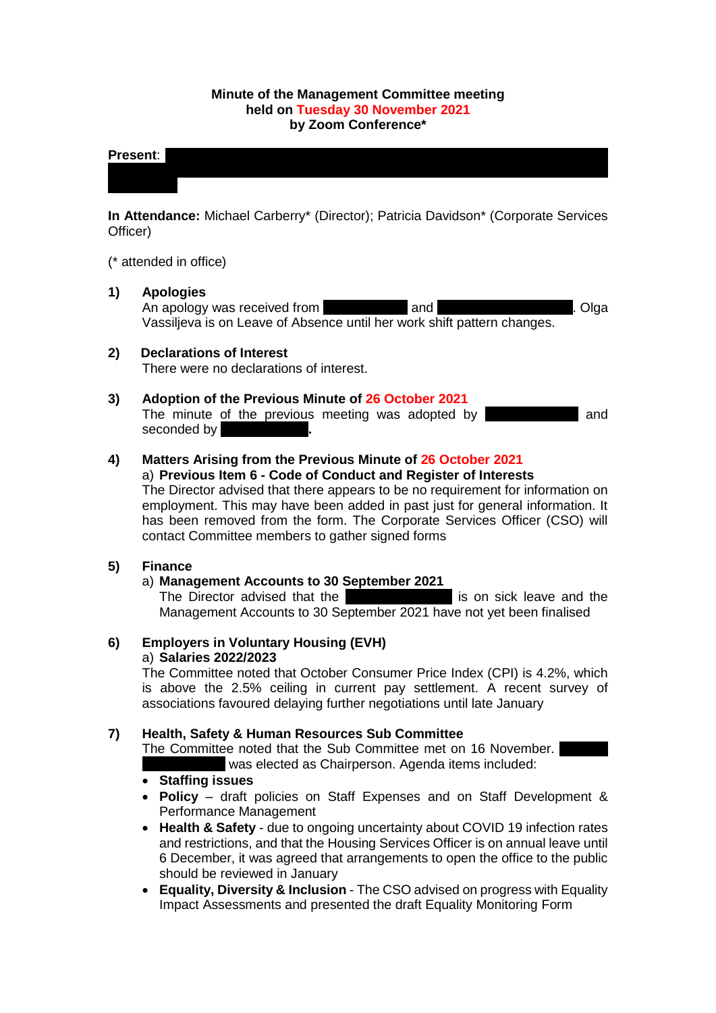### **Minute of the Management Committee meeting held on Tuesday 30 November 2021 by Zoom Conference\***

### **Present:** Manal Eshelli; Manal Eshelli; Sakina Masih; Sakina Masih; Michelle McCartney\*; Michelle McCartney\*; Michelle McCartney\*; Michelle McCartney\*; Michelle McCartney\*; Michelle McCartney\*; Michelle McCartney\*; Michel

**In Attendance:** Michael Carberry\* (Director); Patricia Davidson\* (Corporate Services Officer)

Murray-Moore; Catherine Neil; Joan Reuston\*; Sheena Stephen; Frances Tierney;

(\* attended in office)

### **1) Apologies**

An apology was received from European and Michaelle Murray-Moore. Olga Vassiljeva is on Leave of Absence until her work shift pattern changes.

### **2) Declarations of Interest**

There were no declarations of interest.

#### **3) Adoption of the Previous Minute of 26 October 2021**

The minute of the previous meeting was adopted by **Canadian and** seconded by

#### **4) Matters Arising from the Previous Minute of 26 October 2021** a) **Previous Item 6 - Code of Conduct and Register of Interests**

The Director advised that there appears to be no requirement for information on employment. This may have been added in past just for general information. It has been removed from the form. The Corporate Services Officer (CSO) will contact Committee members to gather signed forms

### **5) Finance**

### a) **Management Accounts to 30 September 2021**

The Director advised that the Finance Assistant is on sick leave and the Management Accounts to 30 September 2021 have not yet been finalised

### **6) Employers in Voluntary Housing (EVH)** a) **Salaries 2022/2023**

The Committee noted that October Consumer Price Index (CPI) is 4.2%, which is above the 2.5% ceiling in current pay settlement. A recent survey of associations favoured delaying further negotiations until late January

### **7) Health, Safety & Human Resources Sub Committee**

The Committee noted that the Sub Committee met on 16 November. was elected as Chairperson. Agenda items included:

### • **Staffing issues**

- **Policy** draft policies on Staff Expenses and on Staff Development & Performance Management
- **Health & Safety** due to ongoing uncertainty about COVID 19 infection rates and restrictions, and that the Housing Services Officer is on annual leave until 6 December, it was agreed that arrangements to open the office to the public should be reviewed in January
- **Equality, Diversity & Inclusion** The CSO advised on progress with Equality Impact Assessments and presented the draft Equality Monitoring Form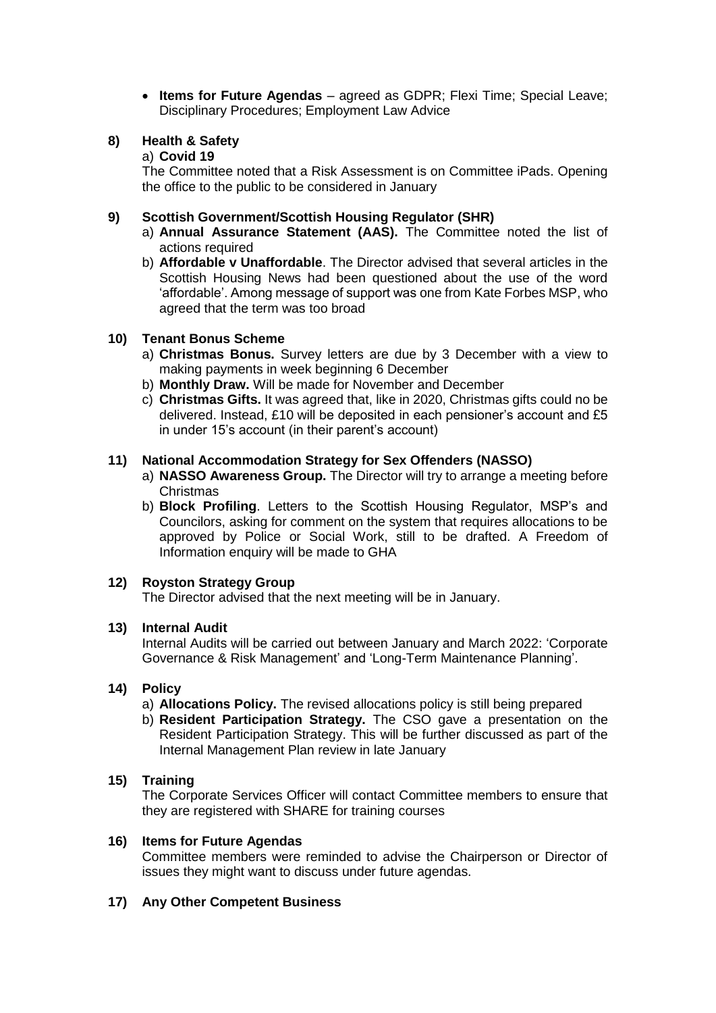• **Items for Future Agendas** – agreed as GDPR; Flexi Time; Special Leave; Disciplinary Procedures; Employment Law Advice

# **8) Health & Safety**

# a) **Covid 19**

The Committee noted that a Risk Assessment is on Committee iPads. Opening the office to the public to be considered in January

### **9) Scottish Government/Scottish Housing Regulator (SHR)**

- a) **Annual Assurance Statement (AAS).** The Committee noted the list of actions required
- b) **Affordable v Unaffordable**. The Director advised that several articles in the Scottish Housing News had been questioned about the use of the word 'affordable'. Among message of support was one from Kate Forbes MSP, who agreed that the term was too broad

# **10) Tenant Bonus Scheme**

- a) **Christmas Bonus.** Survey letters are due by 3 December with a view to making payments in week beginning 6 December
- b) **Monthly Draw.** Will be made for November and December
- c) **Christmas Gifts.** It was agreed that, like in 2020, Christmas gifts could no be delivered. Instead, £10 will be deposited in each pensioner's account and £5 in under 15's account (in their parent's account)

### **11) National Accommodation Strategy for Sex Offenders (NASSO)**

- a) **NASSO Awareness Group.** The Director will try to arrange a meeting before Christmas
- b) **Block Profiling**. Letters to the Scottish Housing Regulator, MSP's and Councilors, asking for comment on the system that requires allocations to be approved by Police or Social Work, still to be drafted. A Freedom of Information enquiry will be made to GHA

# **12) Royston Strategy Group**

The Director advised that the next meeting will be in January.

### **13) Internal Audit**

Internal Audits will be carried out between January and March 2022: 'Corporate Governance & Risk Management' and 'Long-Term Maintenance Planning'.

### **14) Policy**

- a) **Allocations Policy.** The revised allocations policy is still being prepared
- b) **Resident Participation Strategy.** The CSO gave a presentation on the Resident Participation Strategy. This will be further discussed as part of the Internal Management Plan review in late January

# **15) Training**

The Corporate Services Officer will contact Committee members to ensure that they are registered with SHARE for training courses

### **16) Items for Future Agendas**

Committee members were reminded to advise the Chairperson or Director of issues they might want to discuss under future agendas.

### **17) Any Other Competent Business**